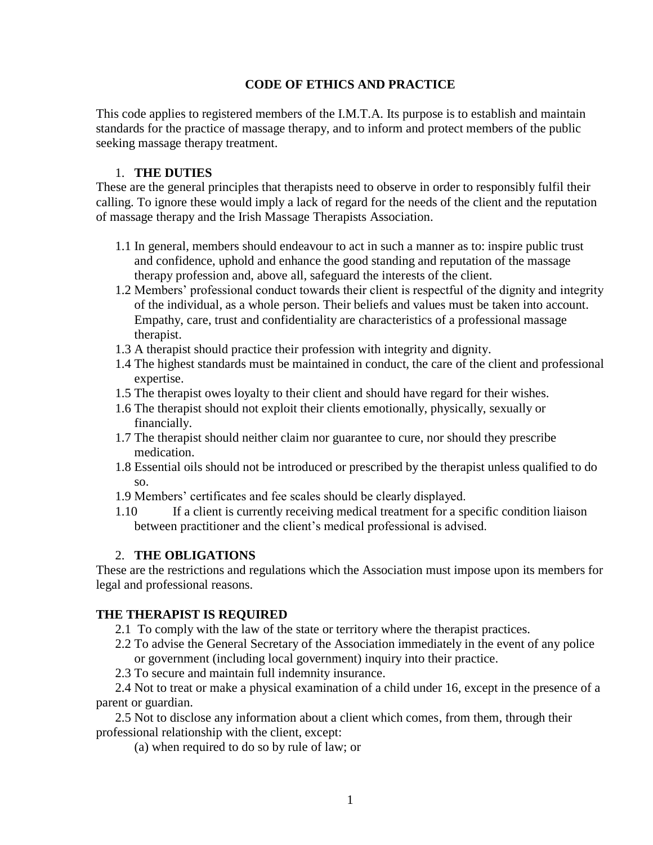## **CODE OF ETHICS AND PRACTICE**

This code applies to registered members of the I.M.T.A. Its purpose is to establish and maintain standards for the practice of massage therapy, and to inform and protect members of the public seeking massage therapy treatment.

### 1. **THE DUTIES**

These are the general principles that therapists need to observe in order to responsibly fulfil their calling. To ignore these would imply a lack of regard for the needs of the client and the reputation of massage therapy and the Irish Massage Therapists Association.

- 1.1 In general, members should endeavour to act in such a manner as to: inspire public trust and confidence, uphold and enhance the good standing and reputation of the massage therapy profession and, above all, safeguard the interests of the client.
- 1.2 Members' professional conduct towards their client is respectful of the dignity and integrity of the individual, as a whole person. Their beliefs and values must be taken into account. Empathy, care, trust and confidentiality are characteristics of a professional massage therapist.
- 1.3 A therapist should practice their profession with integrity and dignity.
- 1.4 The highest standards must be maintained in conduct, the care of the client and professional expertise.
- 1.5 The therapist owes loyalty to their client and should have regard for their wishes.
- 1.6 The therapist should not exploit their clients emotionally, physically, sexually or financially.
- 1.7 The therapist should neither claim nor guarantee to cure, nor should they prescribe medication.
- 1.8 Essential oils should not be introduced or prescribed by the therapist unless qualified to do so.
- 1.9 Members' certificates and fee scales should be clearly displayed.
- 1.10 If a client is currently receiving medical treatment for a specific condition liaison between practitioner and the client's medical professional is advised.

#### 2. **THE OBLIGATIONS**

These are the restrictions and regulations which the Association must impose upon its members for legal and professional reasons.

## **THE THERAPIST IS REQUIRED**

- 2.1 To comply with the law of the state or territory where the therapist practices.
- 2.2 To advise the General Secretary of the Association immediately in the event of any police or government (including local government) inquiry into their practice.
- 2.3 To secure and maintain full indemnity insurance.

2.4 Not to treat or make a physical examination of a child under 16, except in the presence of a parent or guardian.

2.5 Not to disclose any information about a client which comes, from them, through their professional relationship with the client, except:

(a) when required to do so by rule of law; or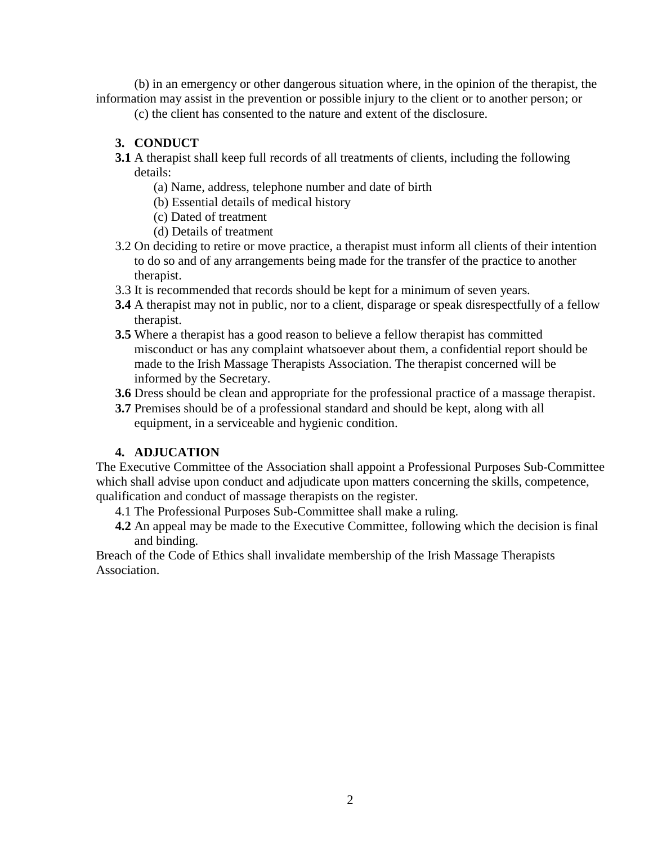(b) in an emergency or other dangerous situation where, in the opinion of the therapist, the information may assist in the prevention or possible injury to the client or to another person; or

(c) the client has consented to the nature and extent of the disclosure.

# **3. CONDUCT**

- **3.1** A therapist shall keep full records of all treatments of clients, including the following details:
	- (a) Name, address, telephone number and date of birth
	- (b) Essential details of medical history
	- (c) Dated of treatment
	- (d) Details of treatment
- 3.2 On deciding to retire or move practice, a therapist must inform all clients of their intention to do so and of any arrangements being made for the transfer of the practice to another therapist.
- 3.3 It is recommended that records should be kept for a minimum of seven years.
- **3.4** A therapist may not in public, nor to a client, disparage or speak disrespectfully of a fellow therapist.
- **3.5** Where a therapist has a good reason to believe a fellow therapist has committed misconduct or has any complaint whatsoever about them, a confidential report should be made to the Irish Massage Therapists Association. The therapist concerned will be informed by the Secretary.
- **3.6** Dress should be clean and appropriate for the professional practice of a massage therapist.
- **3.7** Premises should be of a professional standard and should be kept, along with all equipment, in a serviceable and hygienic condition.

# **4. ADJUCATION**

The Executive Committee of the Association shall appoint a Professional Purposes Sub-Committee which shall advise upon conduct and adjudicate upon matters concerning the skills, competence, qualification and conduct of massage therapists on the register.

- 4.1 The Professional Purposes Sub-Committee shall make a ruling.
- **4.2** An appeal may be made to the Executive Committee, following which the decision is final and binding.

Breach of the Code of Ethics shall invalidate membership of the Irish Massage Therapists Association.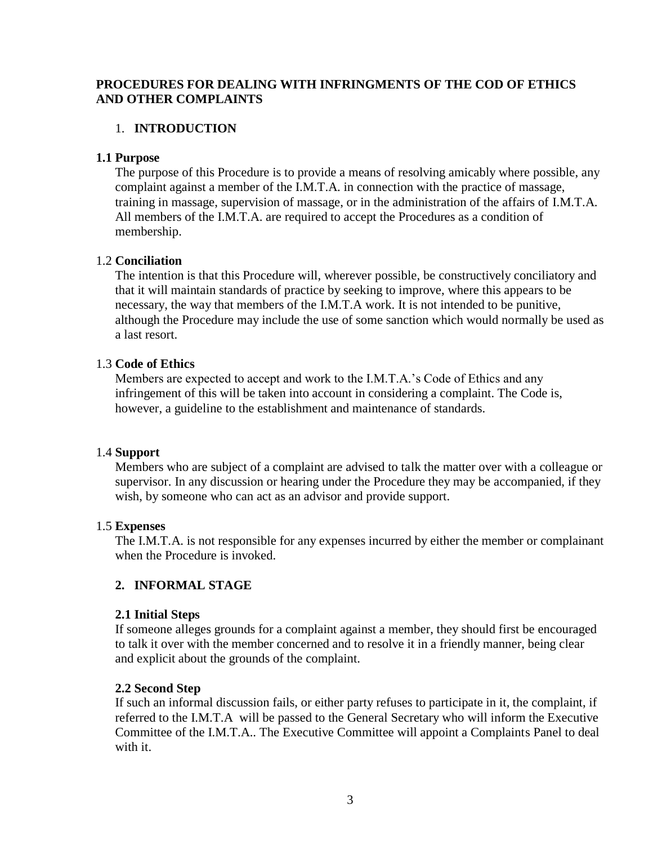## **PROCEDURES FOR DEALING WITH INFRINGMENTS OF THE COD OF ETHICS AND OTHER COMPLAINTS**

### 1. **INTRODUCTION**

#### **1.1 Purpose**

The purpose of this Procedure is to provide a means of resolving amicably where possible, any complaint against a member of the I.M.T.A. in connection with the practice of massage, training in massage, supervision of massage, or in the administration of the affairs of I.M.T.A. All members of the I.M.T.A. are required to accept the Procedures as a condition of membership.

### 1.2 **Conciliation**

The intention is that this Procedure will, wherever possible, be constructively conciliatory and that it will maintain standards of practice by seeking to improve, where this appears to be necessary, the way that members of the I.M.T.A work. It is not intended to be punitive, although the Procedure may include the use of some sanction which would normally be used as a last resort.

#### 1.3 **Code of Ethics**

Members are expected to accept and work to the I.M.T.A.'s Code of Ethics and any infringement of this will be taken into account in considering a complaint. The Code is, however, a guideline to the establishment and maintenance of standards.

#### 1.4 **Support**

Members who are subject of a complaint are advised to talk the matter over with a colleague or supervisor. In any discussion or hearing under the Procedure they may be accompanied, if they wish, by someone who can act as an advisor and provide support.

#### 1.5 **Expenses**

The I.M.T.A. is not responsible for any expenses incurred by either the member or complainant when the Procedure is invoked.

#### **2. INFORMAL STAGE**

#### **2.1 Initial Steps**

If someone alleges grounds for a complaint against a member, they should first be encouraged to talk it over with the member concerned and to resolve it in a friendly manner, being clear and explicit about the grounds of the complaint.

#### **2.2 Second Step**

If such an informal discussion fails, or either party refuses to participate in it, the complaint, if referred to the I.M.T.A will be passed to the General Secretary who will inform the Executive Committee of the I.M.T.A.. The Executive Committee will appoint a Complaints Panel to deal with it.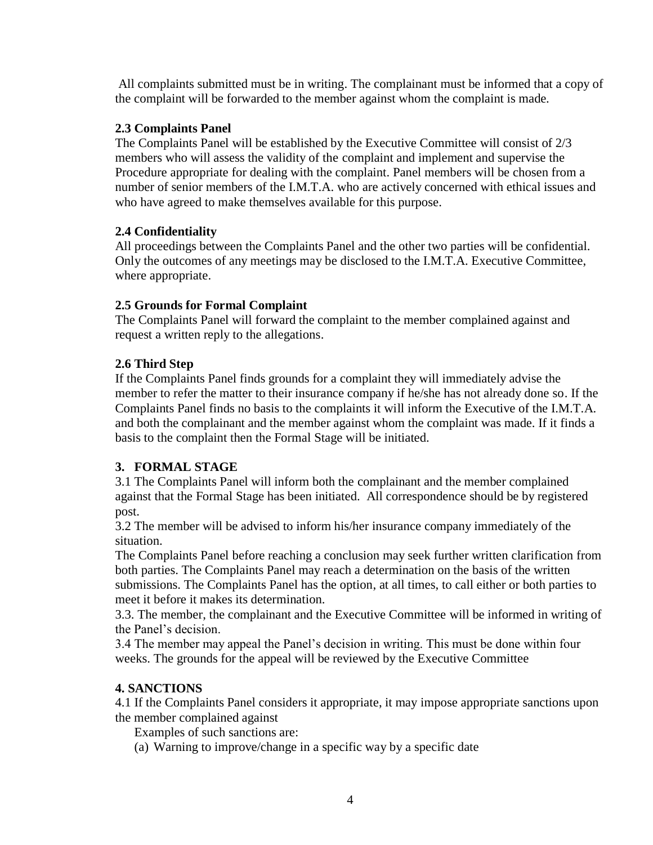All complaints submitted must be in writing. The complainant must be informed that a copy of the complaint will be forwarded to the member against whom the complaint is made.

## **2.3 Complaints Panel**

The Complaints Panel will be established by the Executive Committee will consist of 2/3 members who will assess the validity of the complaint and implement and supervise the Procedure appropriate for dealing with the complaint. Panel members will be chosen from a number of senior members of the I.M.T.A. who are actively concerned with ethical issues and who have agreed to make themselves available for this purpose.

## **2.4 Confidentiality**

All proceedings between the Complaints Panel and the other two parties will be confidential. Only the outcomes of any meetings may be disclosed to the I.M.T.A. Executive Committee, where appropriate.

## **2.5 Grounds for Formal Complaint**

The Complaints Panel will forward the complaint to the member complained against and request a written reply to the allegations.

## **2.6 Third Step**

If the Complaints Panel finds grounds for a complaint they will immediately advise the member to refer the matter to their insurance company if he/she has not already done so. If the Complaints Panel finds no basis to the complaints it will inform the Executive of the I.M.T.A. and both the complainant and the member against whom the complaint was made. If it finds a basis to the complaint then the Formal Stage will be initiated.

# **3. FORMAL STAGE**

3.1 The Complaints Panel will inform both the complainant and the member complained against that the Formal Stage has been initiated. All correspondence should be by registered post.

3.2 The member will be advised to inform his/her insurance company immediately of the situation.

The Complaints Panel before reaching a conclusion may seek further written clarification from both parties. The Complaints Panel may reach a determination on the basis of the written submissions. The Complaints Panel has the option, at all times, to call either or both parties to meet it before it makes its determination.

3.3. The member, the complainant and the Executive Committee will be informed in writing of the Panel's decision.

3.4 The member may appeal the Panel's decision in writing. This must be done within four weeks. The grounds for the appeal will be reviewed by the Executive Committee

## **4. SANCTIONS**

4.1 If the Complaints Panel considers it appropriate, it may impose appropriate sanctions upon the member complained against

Examples of such sanctions are:

(a) Warning to improve/change in a specific way by a specific date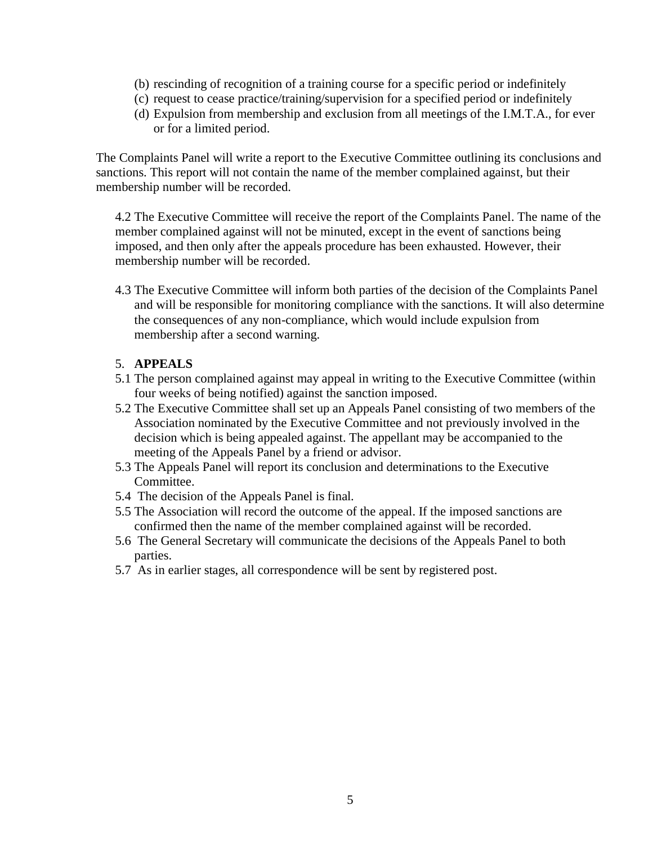- (b) rescinding of recognition of a training course for a specific period or indefinitely
- (c) request to cease practice/training/supervision for a specified period or indefinitely
- (d) Expulsion from membership and exclusion from all meetings of the I.M.T.A., for ever or for a limited period.

The Complaints Panel will write a report to the Executive Committee outlining its conclusions and sanctions. This report will not contain the name of the member complained against, but their membership number will be recorded.

4.2 The Executive Committee will receive the report of the Complaints Panel. The name of the member complained against will not be minuted, except in the event of sanctions being imposed, and then only after the appeals procedure has been exhausted. However, their membership number will be recorded.

4.3 The Executive Committee will inform both parties of the decision of the Complaints Panel and will be responsible for monitoring compliance with the sanctions. It will also determine the consequences of any non-compliance, which would include expulsion from membership after a second warning.

#### 5. **APPEALS**

- 5.1 The person complained against may appeal in writing to the Executive Committee (within four weeks of being notified) against the sanction imposed.
- 5.2 The Executive Committee shall set up an Appeals Panel consisting of two members of the Association nominated by the Executive Committee and not previously involved in the decision which is being appealed against. The appellant may be accompanied to the meeting of the Appeals Panel by a friend or advisor.
- 5.3 The Appeals Panel will report its conclusion and determinations to the Executive Committee.
- 5.4 The decision of the Appeals Panel is final.
- 5.5 The Association will record the outcome of the appeal. If the imposed sanctions are confirmed then the name of the member complained against will be recorded.
- 5.6 The General Secretary will communicate the decisions of the Appeals Panel to both parties.
- 5.7 As in earlier stages, all correspondence will be sent by registered post.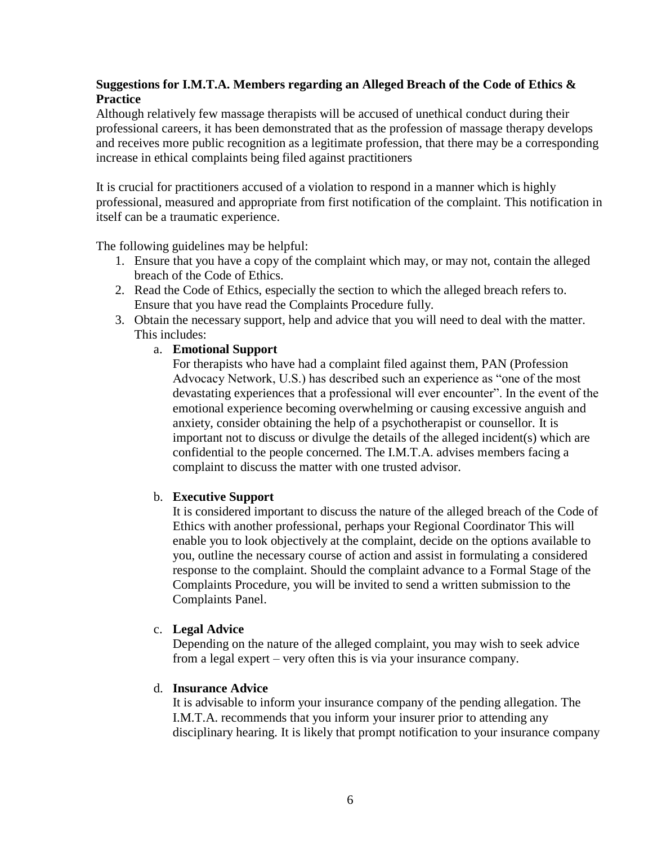## **Suggestions for I.M.T.A. Members regarding an Alleged Breach of the Code of Ethics & Practice**

Although relatively few massage therapists will be accused of unethical conduct during their professional careers, it has been demonstrated that as the profession of massage therapy develops and receives more public recognition as a legitimate profession, that there may be a corresponding increase in ethical complaints being filed against practitioners

It is crucial for practitioners accused of a violation to respond in a manner which is highly professional, measured and appropriate from first notification of the complaint. This notification in itself can be a traumatic experience.

The following guidelines may be helpful:

- 1. Ensure that you have a copy of the complaint which may, or may not, contain the alleged breach of the Code of Ethics.
- 2. Read the Code of Ethics, especially the section to which the alleged breach refers to. Ensure that you have read the Complaints Procedure fully.
- 3. Obtain the necessary support, help and advice that you will need to deal with the matter. This includes:
	- a. **Emotional Support**

For therapists who have had a complaint filed against them, PAN (Profession Advocacy Network, U.S.) has described such an experience as "one of the most devastating experiences that a professional will ever encounter". In the event of the emotional experience becoming overwhelming or causing excessive anguish and anxiety, consider obtaining the help of a psychotherapist or counsellor. It is important not to discuss or divulge the details of the alleged incident(s) which are confidential to the people concerned. The I.M.T.A. advises members facing a complaint to discuss the matter with one trusted advisor.

## b. **Executive Support**

It is considered important to discuss the nature of the alleged breach of the Code of Ethics with another professional, perhaps your Regional Coordinator This will enable you to look objectively at the complaint, decide on the options available to you, outline the necessary course of action and assist in formulating a considered response to the complaint. Should the complaint advance to a Formal Stage of the Complaints Procedure, you will be invited to send a written submission to the Complaints Panel.

#### c. **Legal Advice**

Depending on the nature of the alleged complaint, you may wish to seek advice from a legal expert – very often this is via your insurance company.

#### d. **Insurance Advice**

It is advisable to inform your insurance company of the pending allegation. The I.M.T.A. recommends that you inform your insurer prior to attending any disciplinary hearing. It is likely that prompt notification to your insurance company